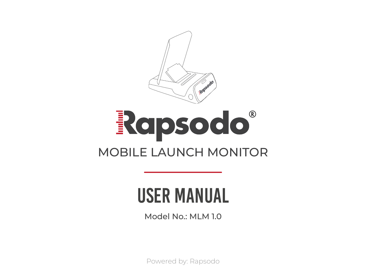

# Rapsodo® MOBILE LAUNCH MONITOR

### user manual

Model No.: MLM 1.0

Powered by: Rapsodo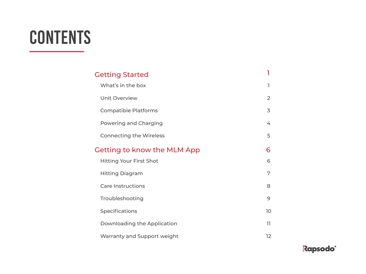## **CONTENTS**

| <b>Getting Started</b>         |    |
|--------------------------------|----|
| What's in the box              | ٦  |
| Unit Overview                  | 2  |
| <b>Compatible Platforms</b>    | 3  |
| Powering and Charging          | 4  |
| <b>Connecting the Wireless</b> | 5  |
| Getting to know the MLM App    | 6  |
| <b>Hitting Your First Shot</b> | 6  |
| <b>Hitting Diagram</b>         | 7  |
| Care Instructions              | 8  |
| Troubleshooting                | 9  |
| Specifications                 | 10 |
| Downloading the Application    | 11 |
| Warranty and Support weight    | 12 |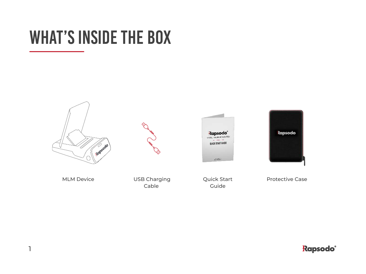### WHAT'S INSIDE THE BOX





Cable





Quick Start Guide

Protective Case

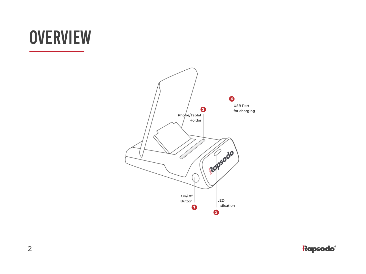## **OVERVIEW**

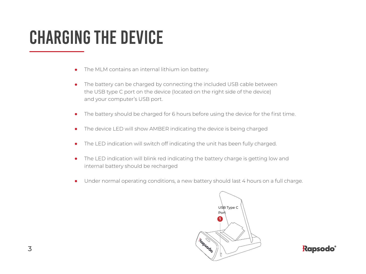### Charging the device

- The MLM contains an internal lithium ion battery.  $\bullet$
- The battery can be charged by connecting the included USB cable between  $\bullet$ the USB type C port on the device (located on the right side of the device) and your computer's USB port.
- The battery should be charged for 6 hours before using the device for the first time.  $\bullet$
- The device LED will show AMBER indicating the device is being charged  $\bullet$
- The LED indication will switch off indicating the unit has been fully charged.  $\bullet$
- The LED indication will blink red indicating the battery charge is getting low and  $\bullet$ internal battery should be recharged
- Under normal operating conditions, a new battery should last 4 hours on a full charge.  $\bullet$



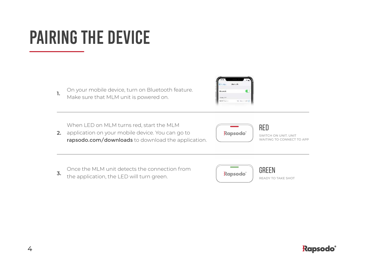## PAIRING THE DEVICE

**1.** On your mobile device, turn on Bluetooth feature. Make sure that MLM unit is powered on.



When LED on MLM turns red, start the MLM

**2.** application on your mobile device. You can go to rapsodo.com/downloads to download the application.



SWITCH ON UNIT. UNIT WAITING TO CONNECT TO APP

**3.** Once the MLM unit detects the connection from the application, the LED will turn green.



**RED**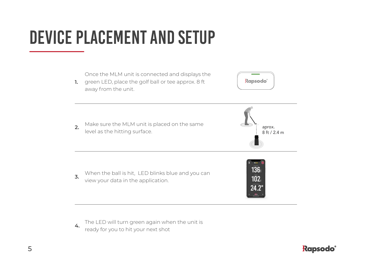## DEVICE PLACEMENT AND SETUP



**4.** The LED will turn green again when the unit is ready for you to hit your next shot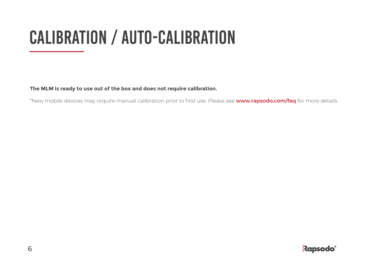## calıbratıon / Auto-Calibratıon

**The MLM is ready to use out of the box and does not require calibration.**

\*New mobile devices may require manual calibration prior to first use. Please see **www.rapsodo.com/faq** for more details.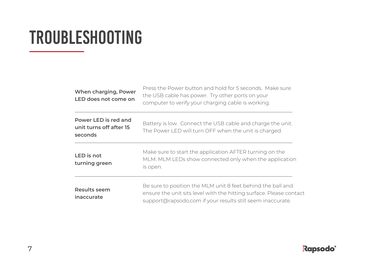### troubleshooting

| When charging, Power<br>LED does not come on               | Press the Power button and hold for 5 seconds. Make sure<br>the USB cable has power. Try other ports on your<br>computer to verify your charging cable is working.                               |
|------------------------------------------------------------|--------------------------------------------------------------------------------------------------------------------------------------------------------------------------------------------------|
| Power LED is red and<br>unit turns off after 15<br>seconds | Battery is low. Connect the USB cable and charge the unit.<br>The Power LED will turn OFF when the unit is charged.                                                                              |
| LED is not<br>turning green                                | Make sure to start the application AFTER turning on the<br>MLM. MLM LEDs show connected only when the application<br>is open.                                                                    |
| Results seem<br>inaccurate                                 | Be sure to position the MLM unit 8 feet behind the ball and<br>ensure the unit sits level with the hitting surface. Please contact<br>support@rapsodo.com if your results still seem inaccurate. |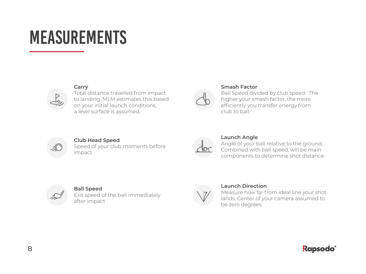### **MEASUREMENTS**



**Carry**

Total distance travelled from impact to landing. MLM estimates this based on your initial launch conditions, a level surface is assumed.



#### **Smash Factor**

Ball Speed divided by club speed. The higher your smash factor, the more efficiently you transfer energy from club to ball.



### **Club Head Speed**

Speed of your club moments before impact



#### **Launch Angle**

Angle of your ball relative to the ground. Combined with ball speed, will be main components to determine shot distance.



#### **Ball Speed**

Exit speed of the ball immediately after impact



#### **Launch Direction**

Measure how far from ideal line your shot lands. Center of your camera assumed to be zero degrees.